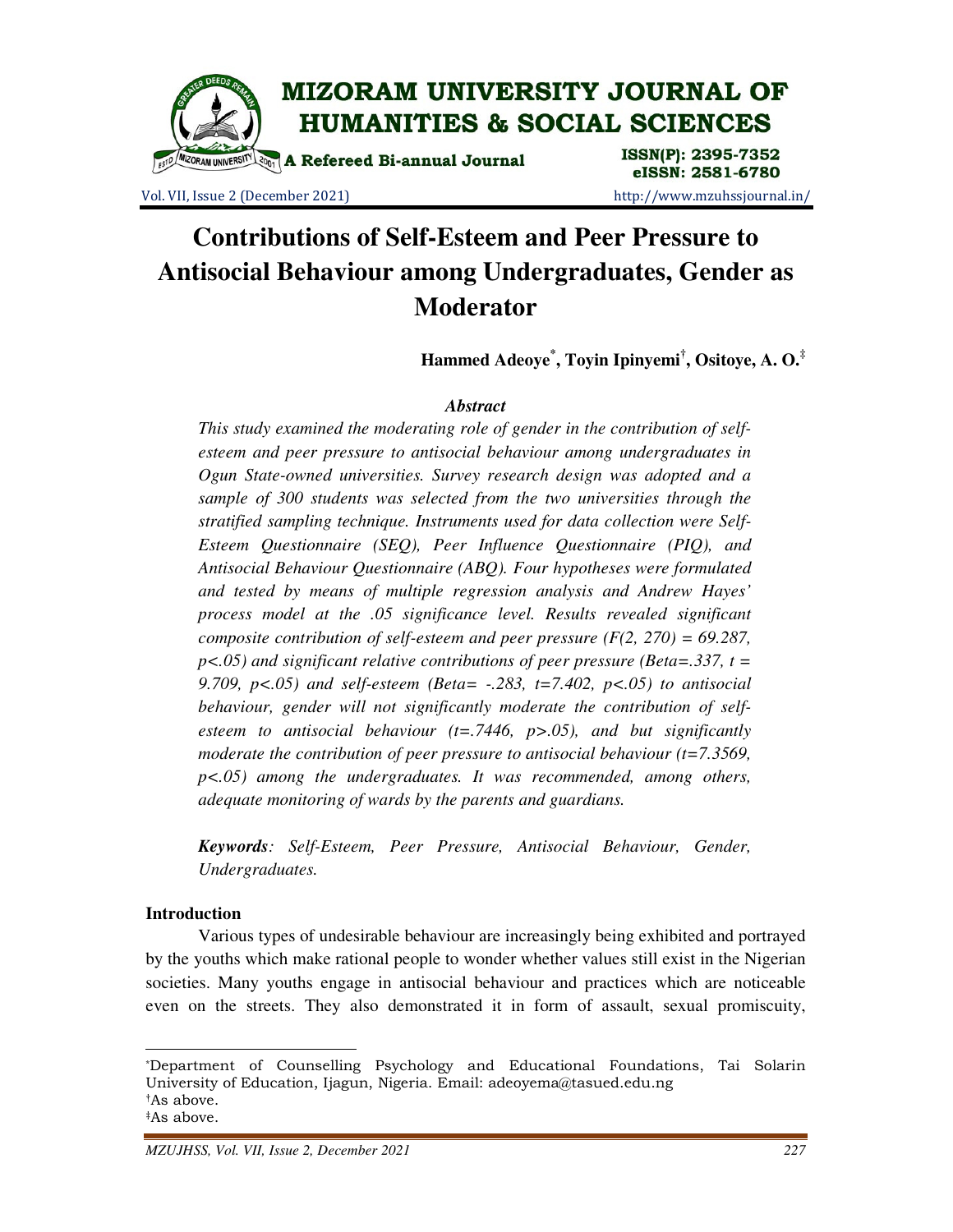

Vol. VII, Issue 2 (December 2021) http://www.mzuhssjournal.in/

eISSN: 2581-6780

# **Contributions of Self-Esteem and Peer Pressure to Antisocial Behaviour among Undergraduates, Gender as Moderator**

**Hammed Adeoye\* , Toyin Ipinyemi† , Ositoye, A. O.‡**

## *Abstract*

*This study examined the moderating role of gender in the contribution of selfesteem and peer pressure to antisocial behaviour among undergraduates in Ogun State-owned universities. Survey research design was adopted and a sample of 300 students was selected from the two universities through the stratified sampling technique. Instruments used for data collection were Self-Esteem Questionnaire (SEQ), Peer Influence Questionnaire (PIQ), and Antisocial Behaviour Questionnaire (ABQ). Four hypotheses were formulated and tested by means of multiple regression analysis and Andrew Hayes' process model at the .05 significance level. Results revealed significant composite contribution of self-esteem and peer pressure (F(2, 270) = 69.287, p<.05) and significant relative contributions of peer pressure (Beta=.337, t = 9.709, p<.05) and self-esteem (Beta= -.283, t=7.402, p<.05) to antisocial behaviour, gender will not significantly moderate the contribution of selfesteem to antisocial behaviour (t=.7446, p>.05), and but significantly moderate the contribution of peer pressure to antisocial behaviour (t=7.3569, p<.05) among the undergraduates. It was recommended, among others, adequate monitoring of wards by the parents and guardians.* 

*Keywords: Self-Esteem, Peer Pressure, Antisocial Behaviour, Gender, Undergraduates.* 

## **Introduction**

<u>.</u>

 Various types of undesirable behaviour are increasingly being exhibited and portrayed by the youths which make rational people to wonder whether values still exist in the Nigerian societies. Many youths engage in antisocial behaviour and practices which are noticeable even on the streets. They also demonstrated it in form of assault, sexual promiscuity,

<sup>\*</sup>Department of Counselling Psychology and Educational Foundations, Tai Solarin University of Education, Ijagun, Nigeria. Email: adeoyema@tasued.edu.ng †As above. ‡As above.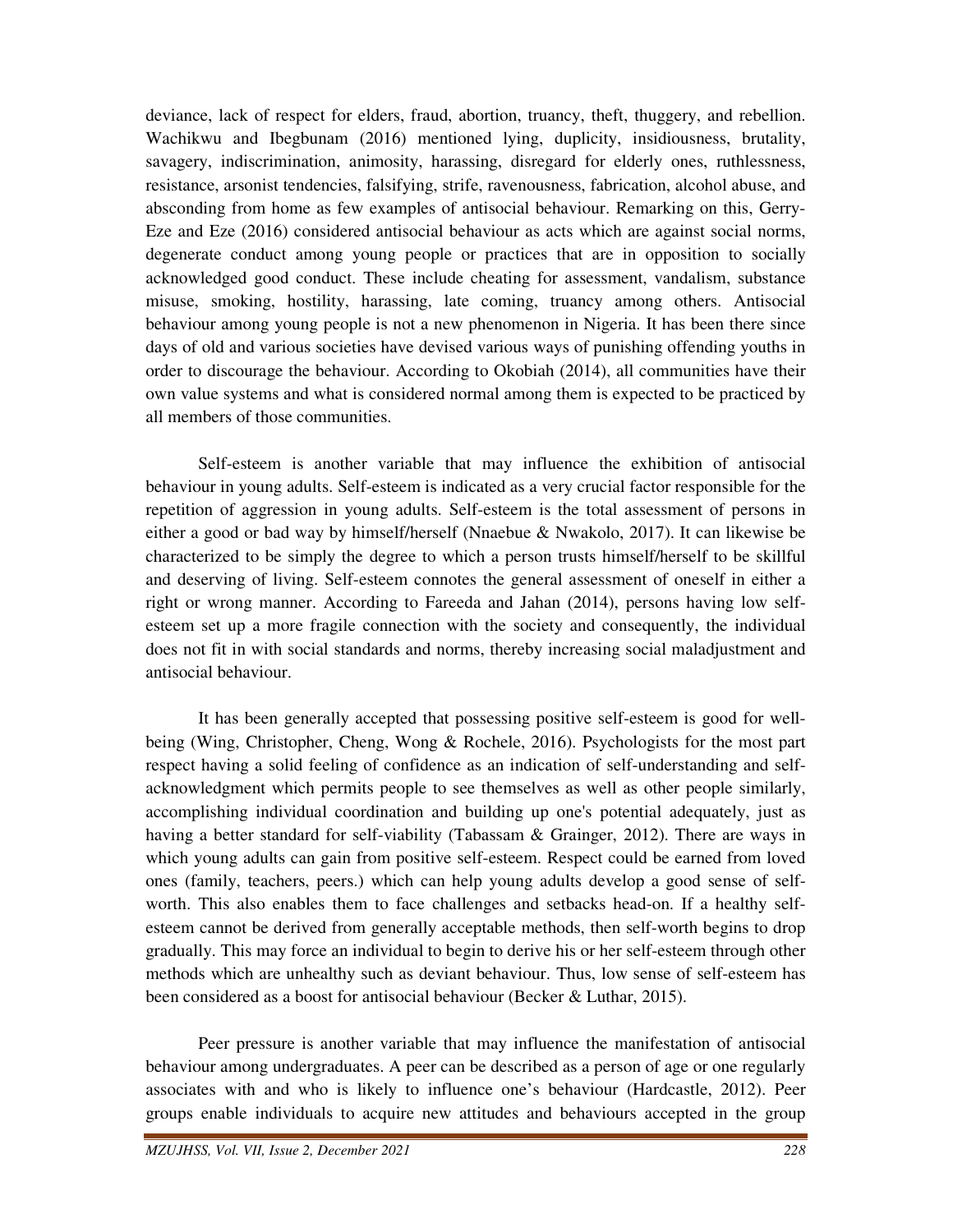deviance, lack of respect for elders, fraud, abortion, truancy, theft, thuggery, and rebellion. Wachikwu and Ibegbunam (2016) mentioned lying, duplicity, insidiousness, brutality, savagery, indiscrimination, animosity, harassing, disregard for elderly ones, ruthlessness, resistance, arsonist tendencies, falsifying, strife, ravenousness, fabrication, alcohol abuse, and absconding from home as few examples of antisocial behaviour. Remarking on this, Gerry-Eze and Eze (2016) considered antisocial behaviour as acts which are against social norms, degenerate conduct among young people or practices that are in opposition to socially acknowledged good conduct. These include cheating for assessment, vandalism, substance misuse, smoking, hostility, harassing, late coming, truancy among others. Antisocial behaviour among young people is not a new phenomenon in Nigeria. It has been there since days of old and various societies have devised various ways of punishing offending youths in order to discourage the behaviour. According to Okobiah (2014), all communities have their own value systems and what is considered normal among them is expected to be practiced by all members of those communities.

 Self-esteem is another variable that may influence the exhibition of antisocial behaviour in young adults. Self-esteem is indicated as a very crucial factor responsible for the repetition of aggression in young adults. Self-esteem is the total assessment of persons in either a good or bad way by himself/herself (Nnaebue & Nwakolo, 2017). It can likewise be characterized to be simply the degree to which a person trusts himself/herself to be skillful and deserving of living. Self-esteem connotes the general assessment of oneself in either a right or wrong manner. According to Fareeda and Jahan (2014), persons having low selfesteem set up a more fragile connection with the society and consequently, the individual does not fit in with social standards and norms, thereby increasing social maladjustment and antisocial behaviour.

 It has been generally accepted that possessing positive self-esteem is good for wellbeing (Wing, Christopher, Cheng, Wong & Rochele, 2016). Psychologists for the most part respect having a solid feeling of confidence as an indication of self-understanding and selfacknowledgment which permits people to see themselves as well as other people similarly, accomplishing individual coordination and building up one's potential adequately, just as having a better standard for self-viability (Tabassam & Grainger, 2012). There are ways in which young adults can gain from positive self-esteem. Respect could be earned from loved ones (family, teachers, peers.) which can help young adults develop a good sense of selfworth. This also enables them to face challenges and setbacks head-on. If a healthy selfesteem cannot be derived from generally acceptable methods, then self-worth begins to drop gradually. This may force an individual to begin to derive his or her self-esteem through other methods which are unhealthy such as deviant behaviour. Thus, low sense of self-esteem has been considered as a boost for antisocial behaviour (Becker & Luthar, 2015).

 Peer pressure is another variable that may influence the manifestation of antisocial behaviour among undergraduates. A peer can be described as a person of age or one regularly associates with and who is likely to influence one's behaviour (Hardcastle, 2012). Peer groups enable individuals to acquire new attitudes and behaviours accepted in the group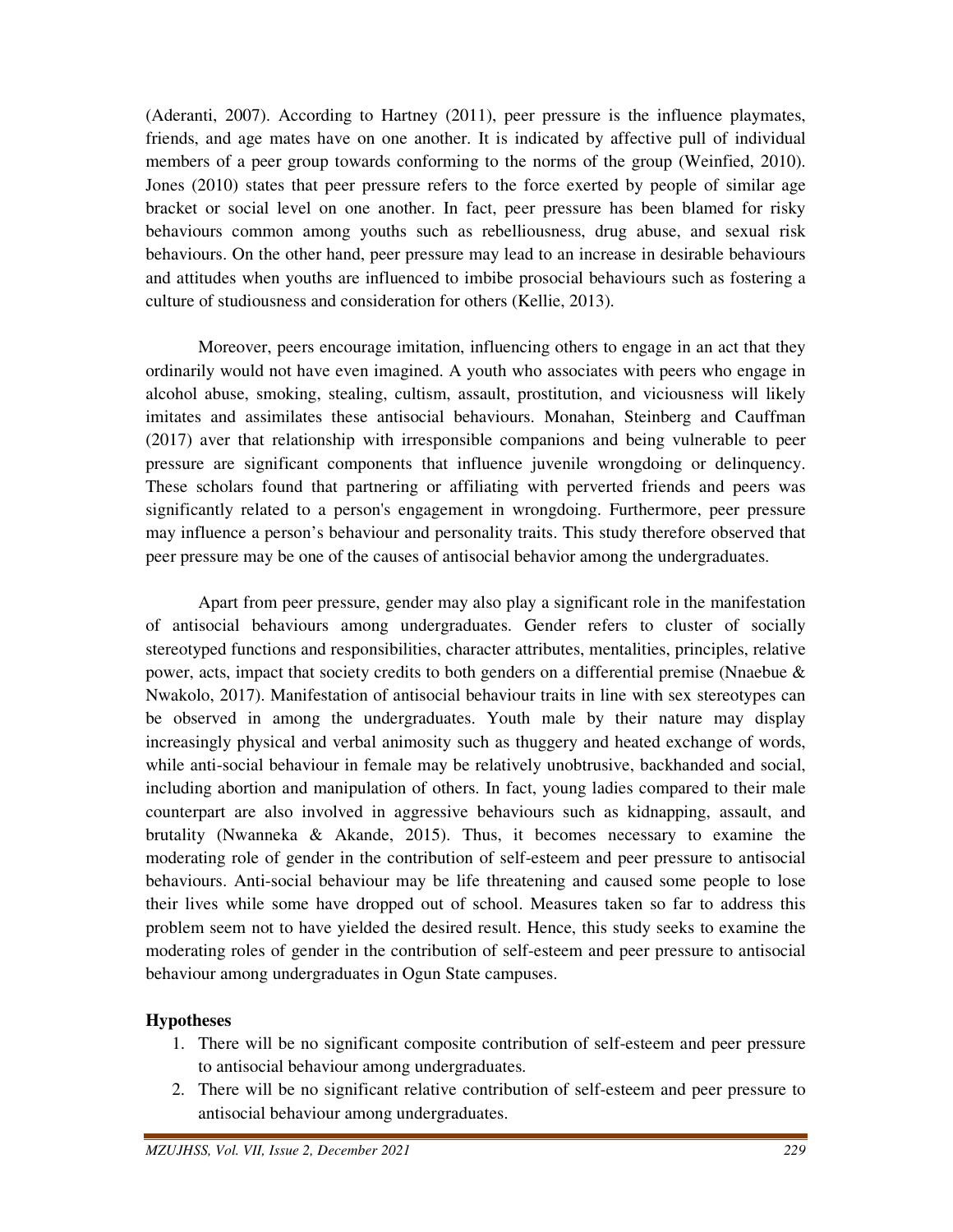(Aderanti, 2007). According to Hartney (2011), peer pressure is the influence playmates, friends, and age mates have on one another. It is indicated by affective pull of individual members of a peer group towards conforming to the norms of the group (Weinfied, 2010). Jones (2010) states that peer pressure refers to the force exerted by people of similar age bracket or social level on one another. In fact, peer pressure has been blamed for risky behaviours common among youths such as rebelliousness, drug abuse, and sexual risk behaviours. On the other hand, peer pressure may lead to an increase in desirable behaviours and attitudes when youths are influenced to imbibe prosocial behaviours such as fostering a culture of studiousness and consideration for others (Kellie, 2013).

 Moreover, peers encourage imitation, influencing others to engage in an act that they ordinarily would not have even imagined. A youth who associates with peers who engage in alcohol abuse, smoking, stealing, cultism, assault, prostitution, and viciousness will likely imitates and assimilates these antisocial behaviours. Monahan, Steinberg and Cauffman (2017) aver that relationship with irresponsible companions and being vulnerable to peer pressure are significant components that influence juvenile wrongdoing or delinquency. These scholars found that partnering or affiliating with perverted friends and peers was significantly related to a person's engagement in wrongdoing. Furthermore, peer pressure may influence a person's behaviour and personality traits. This study therefore observed that peer pressure may be one of the causes of antisocial behavior among the undergraduates.

 Apart from peer pressure, gender may also play a significant role in the manifestation of antisocial behaviours among undergraduates. Gender refers to cluster of socially stereotyped functions and responsibilities, character attributes, mentalities, principles, relative power, acts, impact that society credits to both genders on a differential premise (Nnaebue & Nwakolo, 2017). Manifestation of antisocial behaviour traits in line with sex stereotypes can be observed in among the undergraduates. Youth male by their nature may display increasingly physical and verbal animosity such as thuggery and heated exchange of words, while anti-social behaviour in female may be relatively unobtrusive, backhanded and social, including abortion and manipulation of others. In fact, young ladies compared to their male counterpart are also involved in aggressive behaviours such as kidnapping, assault, and brutality (Nwanneka & Akande, 2015). Thus, it becomes necessary to examine the moderating role of gender in the contribution of self-esteem and peer pressure to antisocial behaviours. Anti-social behaviour may be life threatening and caused some people to lose their lives while some have dropped out of school. Measures taken so far to address this problem seem not to have yielded the desired result. Hence, this study seeks to examine the moderating roles of gender in the contribution of self-esteem and peer pressure to antisocial behaviour among undergraduates in Ogun State campuses.

# **Hypotheses**

- 1. There will be no significant composite contribution of self-esteem and peer pressure to antisocial behaviour among undergraduates.
- 2. There will be no significant relative contribution of self-esteem and peer pressure to antisocial behaviour among undergraduates.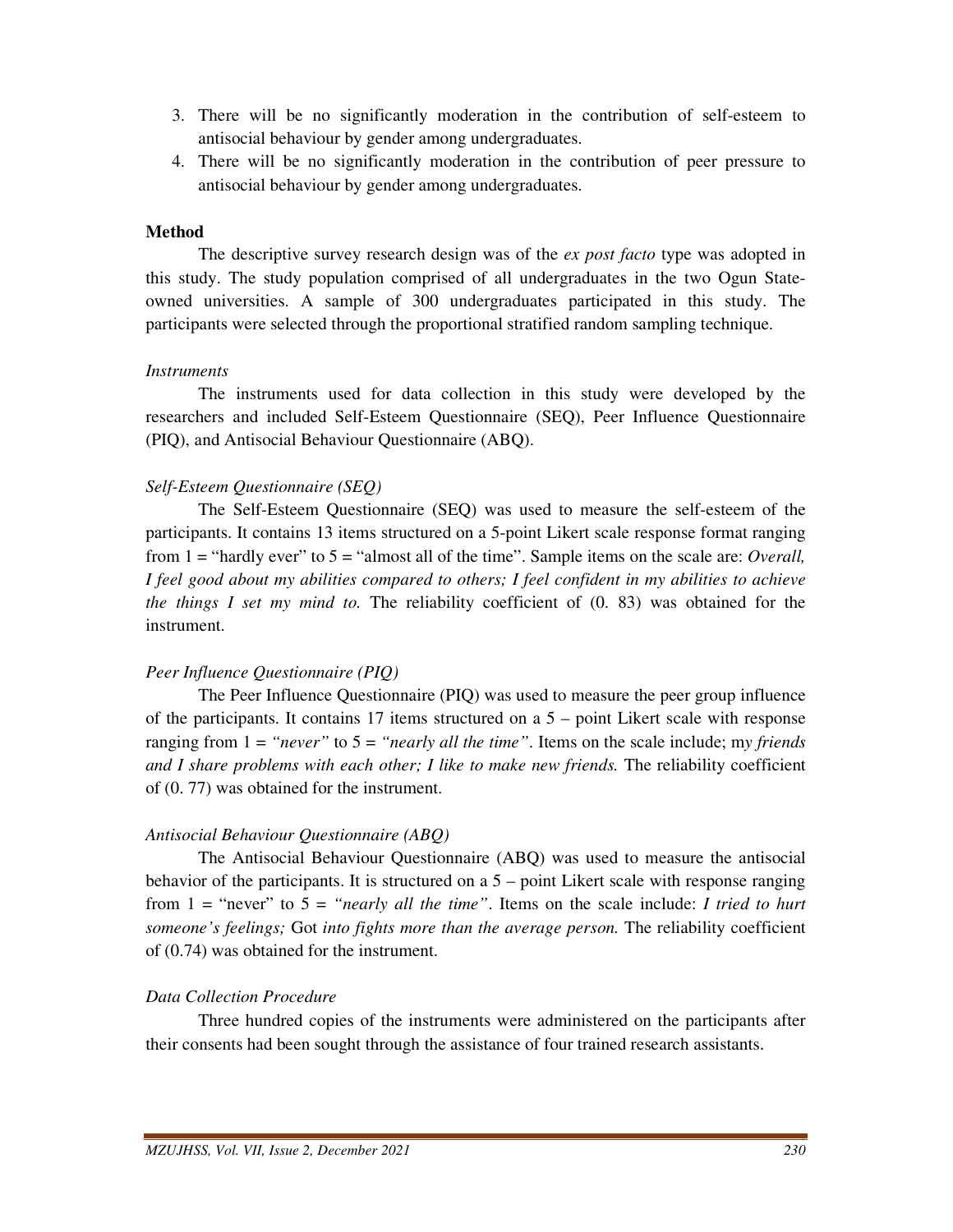- 3. There will be no significantly moderation in the contribution of self-esteem to antisocial behaviour by gender among undergraduates.
- 4. There will be no significantly moderation in the contribution of peer pressure to antisocial behaviour by gender among undergraduates.

#### **Method**

 The descriptive survey research design was of the *ex post facto* type was adopted in this study. The study population comprised of all undergraduates in the two Ogun Stateowned universities. A sample of 300 undergraduates participated in this study. The participants were selected through the proportional stratified random sampling technique.

## *Instruments*

 The instruments used for data collection in this study were developed by the researchers and included Self-Esteem Questionnaire (SEQ), Peer Influence Questionnaire (PIQ), and Antisocial Behaviour Questionnaire (ABQ).

## *Self-Esteem Questionnaire (SEQ)*

 The Self-Esteem Questionnaire (SEQ) was used to measure the self-esteem of the participants. It contains 13 items structured on a 5-point Likert scale response format ranging from 1 = "hardly ever" to 5 = "almost all of the time". Sample items on the scale are: *Overall, I feel good about my abilities compared to others; I feel confident in my abilities to achieve the things I set my mind to.* The reliability coefficient of (0. 83) was obtained for the instrument.

## *Peer Influence Questionnaire (PIQ)*

 The Peer Influence Questionnaire (PIQ) was used to measure the peer group influence of the participants. It contains 17 items structured on a 5 – point Likert scale with response ranging from 1 = *"never"* to 5 = *"nearly all the time"*. Items on the scale include; m*y friends and I share problems with each other; I like to make new friends.* The reliability coefficient of (0. 77) was obtained for the instrument.

#### *Antisocial Behaviour Questionnaire (ABQ)*

 The Antisocial Behaviour Questionnaire (ABQ) was used to measure the antisocial behavior of the participants. It is structured on a 5 – point Likert scale with response ranging from 1 = "never" to 5 = *"nearly all the time"*. Items on the scale include: *I tried to hurt someone's feelings;* Got *into fights more than the average person.* The reliability coefficient of (0.74) was obtained for the instrument.

## *Data Collection Procedure*

 Three hundred copies of the instruments were administered on the participants after their consents had been sought through the assistance of four trained research assistants.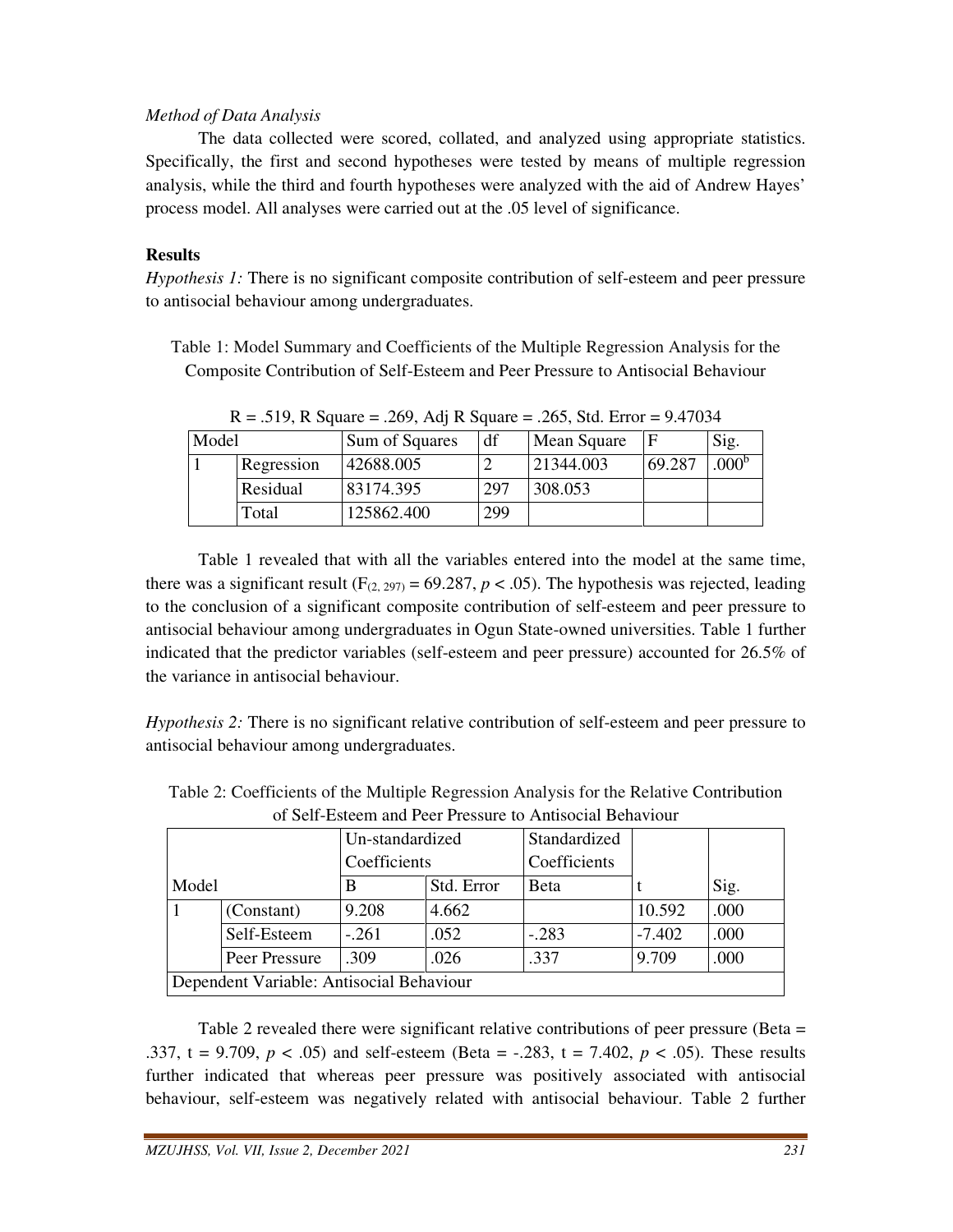## *Method of Data Analysis*

The data collected were scored, collated, and analyzed using appropriate statistics. Specifically, the first and second hypotheses were tested by means of multiple regression analysis, while the third and fourth hypotheses were analyzed with the aid of Andrew Hayes' process model. All analyses were carried out at the .05 level of significance.

## **Results**

*Hypothesis 1:* There is no significant composite contribution of self-esteem and peer pressure to antisocial behaviour among undergraduates.

Table 1: Model Summary and Coefficients of the Multiple Regression Analysis for the Composite Contribution of Self-Esteem and Peer Pressure to Antisocial Behaviour

| Model |            | Sum of Squares | df  | Mean Square |        | Sig.              |
|-------|------------|----------------|-----|-------------|--------|-------------------|
|       | Regression | 42688.005      |     | 21344.003   | 69.287 | .000 <sup>b</sup> |
|       | Residual   | 83174.395      | 297 | 308.053     |        |                   |
|       | Total      | 125862.400     | 299 |             |        |                   |

 $R = .519$ , R Square = .269, Adj R Square = .265, Std. Error = 9.47034

 Table 1 revealed that with all the variables entered into the model at the same time, there was a significant result ( $F_{(2, 297)} = 69.287$ ,  $p < .05$ ). The hypothesis was rejected, leading to the conclusion of a significant composite contribution of self-esteem and peer pressure to antisocial behaviour among undergraduates in Ogun State-owned universities. Table 1 further indicated that the predictor variables (self-esteem and peer pressure) accounted for 26.5% of the variance in antisocial behaviour.

*Hypothesis 2:* There is no significant relative contribution of self-esteem and peer pressure to antisocial behaviour among undergraduates.

|                                          |               | Un-standardized |            | Standardized |          |      |  |  |  |
|------------------------------------------|---------------|-----------------|------------|--------------|----------|------|--|--|--|
|                                          | Coefficients  |                 |            | Coefficients |          |      |  |  |  |
| Model                                    |               | B               | Std. Error | Beta         |          | Sig. |  |  |  |
|                                          | (Constant)    | 9.208           | 4.662      |              | 10.592   | .000 |  |  |  |
|                                          | Self-Esteem   | $-.261$         | .052       | $-.283$      | $-7.402$ | .000 |  |  |  |
|                                          | Peer Pressure | .309            | .026       | .337         | 9.709    | .000 |  |  |  |
| Dependent Variable: Antisocial Behaviour |               |                 |            |              |          |      |  |  |  |

Table 2: Coefficients of the Multiple Regression Analysis for the Relative Contribution of Self-Esteem and Peer Pressure to Antisocial Behaviour

Table 2 revealed there were significant relative contributions of peer pressure (Beta = .337, t = 9.709, *p* < .05) and self-esteem (Beta = -.283, t = 7.402, *p* < .05). These results further indicated that whereas peer pressure was positively associated with antisocial behaviour, self-esteem was negatively related with antisocial behaviour. Table 2 further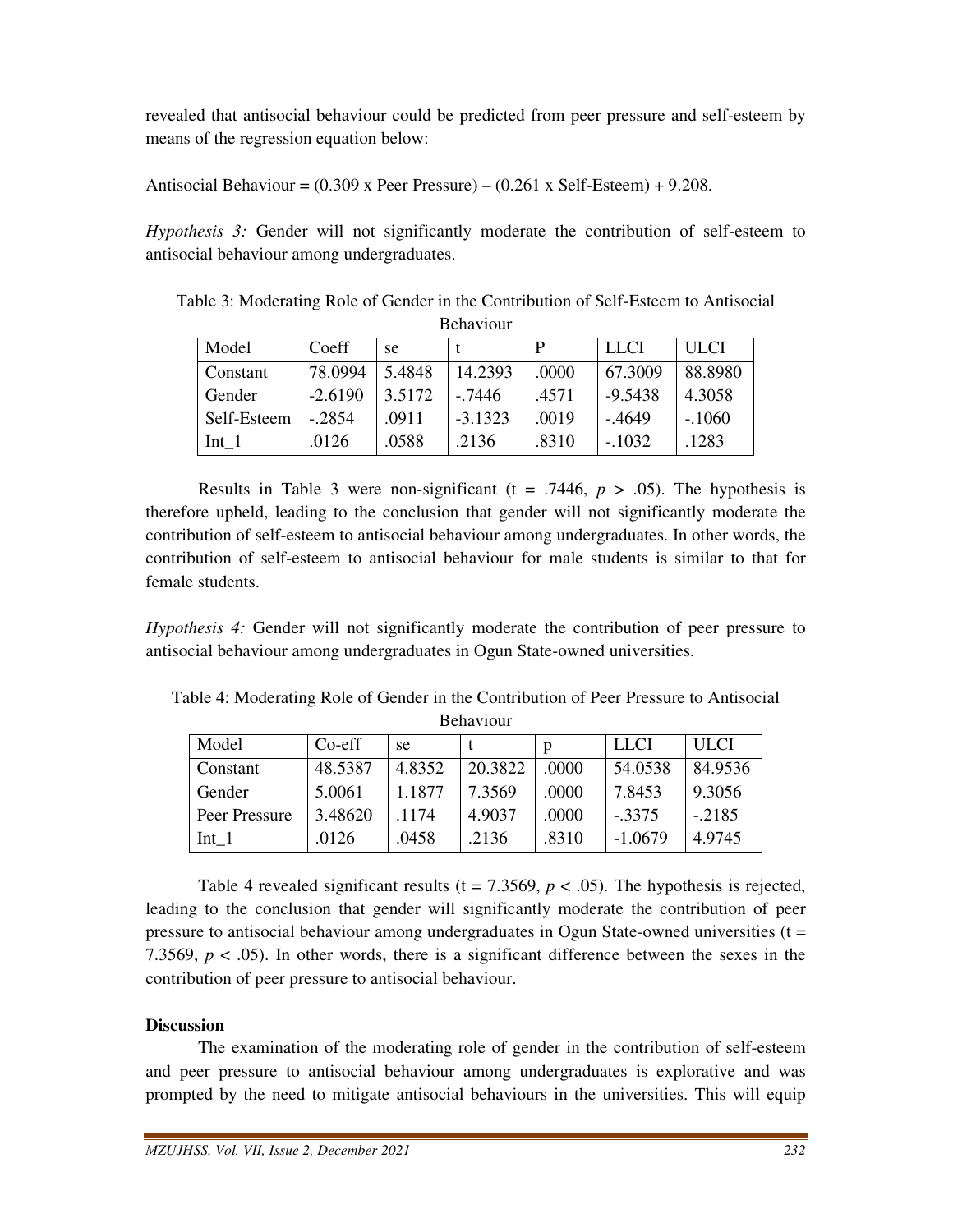revealed that antisocial behaviour could be predicted from peer pressure and self-esteem by means of the regression equation below:

Antisocial Behaviour =  $(0.309 \times \text{Peer } \text{Pressure}) - (0.261 \times \text{Self-Esteem}) + 9.208$ .

*Hypothesis 3:* Gender will not significantly moderate the contribution of self-esteem to antisocial behaviour among undergraduates.

Table 3: Moderating Role of Gender in the Contribution of Self-Esteem to Antisocial Behaviour

| Model       | Coeff     | se     |           | P     | <b>LLCI</b> | <b>ULCI</b> |
|-------------|-----------|--------|-----------|-------|-------------|-------------|
| Constant    | 78.0994   | 5.4848 | 14.2393   | .0000 | 67.3009     | 88.8980     |
| Gender      | $-2.6190$ | 3.5172 | - 7446    | .4571 | $-9.5438$   | 4.3058      |
| Self-Esteem | $-2854$   | .0911  | $-3.1323$ | .0019 | $-.4649$    | $-.1060$    |
| $Int_1$     | .0126     | .0588  | .2136     | .8310 | $-.1032$    | .1283       |

Results in Table 3 were non-significant  $(t = .7446, p > .05)$ . The hypothesis is therefore upheld, leading to the conclusion that gender will not significantly moderate the contribution of self-esteem to antisocial behaviour among undergraduates. In other words, the contribution of self-esteem to antisocial behaviour for male students is similar to that for female students.

*Hypothesis 4:* Gender will not significantly moderate the contribution of peer pressure to antisocial behaviour among undergraduates in Ogun State-owned universities.

Table 4: Moderating Role of Gender in the Contribution of Peer Pressure to Antisocial Behaviour

| Model         | $Co-eff$ | se     |         | p     | <b>LLCI</b> | <b>ULCI</b> |
|---------------|----------|--------|---------|-------|-------------|-------------|
| Constant      | 48.5387  | 4.8352 | 20.3822 | .0000 | 54.0538     | 84.9536     |
| Gender        | 5.0061   | 1.1877 | 7.3569  | .0000 | 7.8453      | 9.3056      |
| Peer Pressure | 3.48620  | 1174   | 4.9037  | .0000 | $-.3375$    | $-.2185$    |
| $Int_1$       | .0126    | .0458  | .2136   | .8310 | $-1.0679$   | 4.9745      |

Table 4 revealed significant results ( $t = 7.3569$ ,  $p < .05$ ). The hypothesis is rejected, leading to the conclusion that gender will significantly moderate the contribution of peer pressure to antisocial behaviour among undergraduates in Ogun State-owned universities  $(t =$ 7.3569,  $p < .05$ ). In other words, there is a significant difference between the sexes in the contribution of peer pressure to antisocial behaviour.

# **Discussion**

 The examination of the moderating role of gender in the contribution of self-esteem and peer pressure to antisocial behaviour among undergraduates is explorative and was prompted by the need to mitigate antisocial behaviours in the universities. This will equip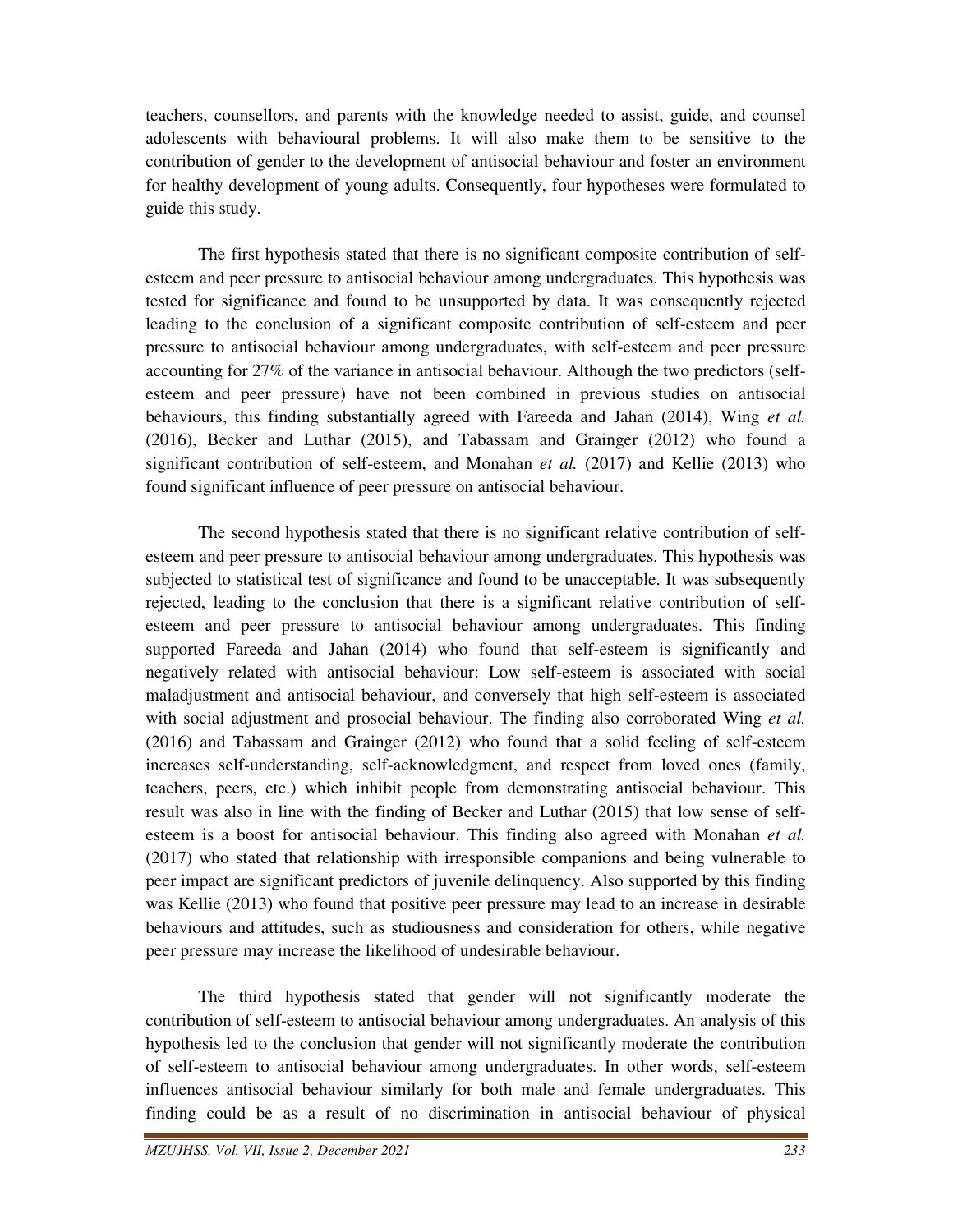teachers, counsellors, and parents with the knowledge needed to assist, guide, and counsel adolescents with behavioural problems. It will also make them to be sensitive to the contribution of gender to the development of antisocial behaviour and foster an environment for healthy development of young adults. Consequently, four hypotheses were formulated to guide this study.

 The first hypothesis stated that there is no significant composite contribution of selfesteem and peer pressure to antisocial behaviour among undergraduates. This hypothesis was tested for significance and found to be unsupported by data. It was consequently rejected leading to the conclusion of a significant composite contribution of self-esteem and peer pressure to antisocial behaviour among undergraduates, with self-esteem and peer pressure accounting for 27% of the variance in antisocial behaviour. Although the two predictors (selfesteem and peer pressure) have not been combined in previous studies on antisocial behaviours, this finding substantially agreed with Fareeda and Jahan (2014), Wing *et al.* (2016), Becker and Luthar (2015), and Tabassam and Grainger (2012) who found a significant contribution of self-esteem, and Monahan *et al.* (2017) and Kellie (2013) who found significant influence of peer pressure on antisocial behaviour.

 The second hypothesis stated that there is no significant relative contribution of selfesteem and peer pressure to antisocial behaviour among undergraduates. This hypothesis was subjected to statistical test of significance and found to be unacceptable. It was subsequently rejected, leading to the conclusion that there is a significant relative contribution of selfesteem and peer pressure to antisocial behaviour among undergraduates. This finding supported Fareeda and Jahan (2014) who found that self-esteem is significantly and negatively related with antisocial behaviour: Low self-esteem is associated with social maladjustment and antisocial behaviour, and conversely that high self-esteem is associated with social adjustment and prosocial behaviour. The finding also corroborated Wing *et al.* (2016) and Tabassam and Grainger (2012) who found that a solid feeling of self-esteem increases self-understanding, self-acknowledgment, and respect from loved ones (family, teachers, peers, etc.) which inhibit people from demonstrating antisocial behaviour. This result was also in line with the finding of Becker and Luthar (2015) that low sense of selfesteem is a boost for antisocial behaviour. This finding also agreed with Monahan *et al.* (2017) who stated that relationship with irresponsible companions and being vulnerable to peer impact are significant predictors of juvenile delinquency. Also supported by this finding was Kellie (2013) who found that positive peer pressure may lead to an increase in desirable behaviours and attitudes, such as studiousness and consideration for others, while negative peer pressure may increase the likelihood of undesirable behaviour.

 The third hypothesis stated that gender will not significantly moderate the contribution of self-esteem to antisocial behaviour among undergraduates. An analysis of this hypothesis led to the conclusion that gender will not significantly moderate the contribution of self-esteem to antisocial behaviour among undergraduates. In other words, self-esteem influences antisocial behaviour similarly for both male and female undergraduates. This finding could be as a result of no discrimination in antisocial behaviour of physical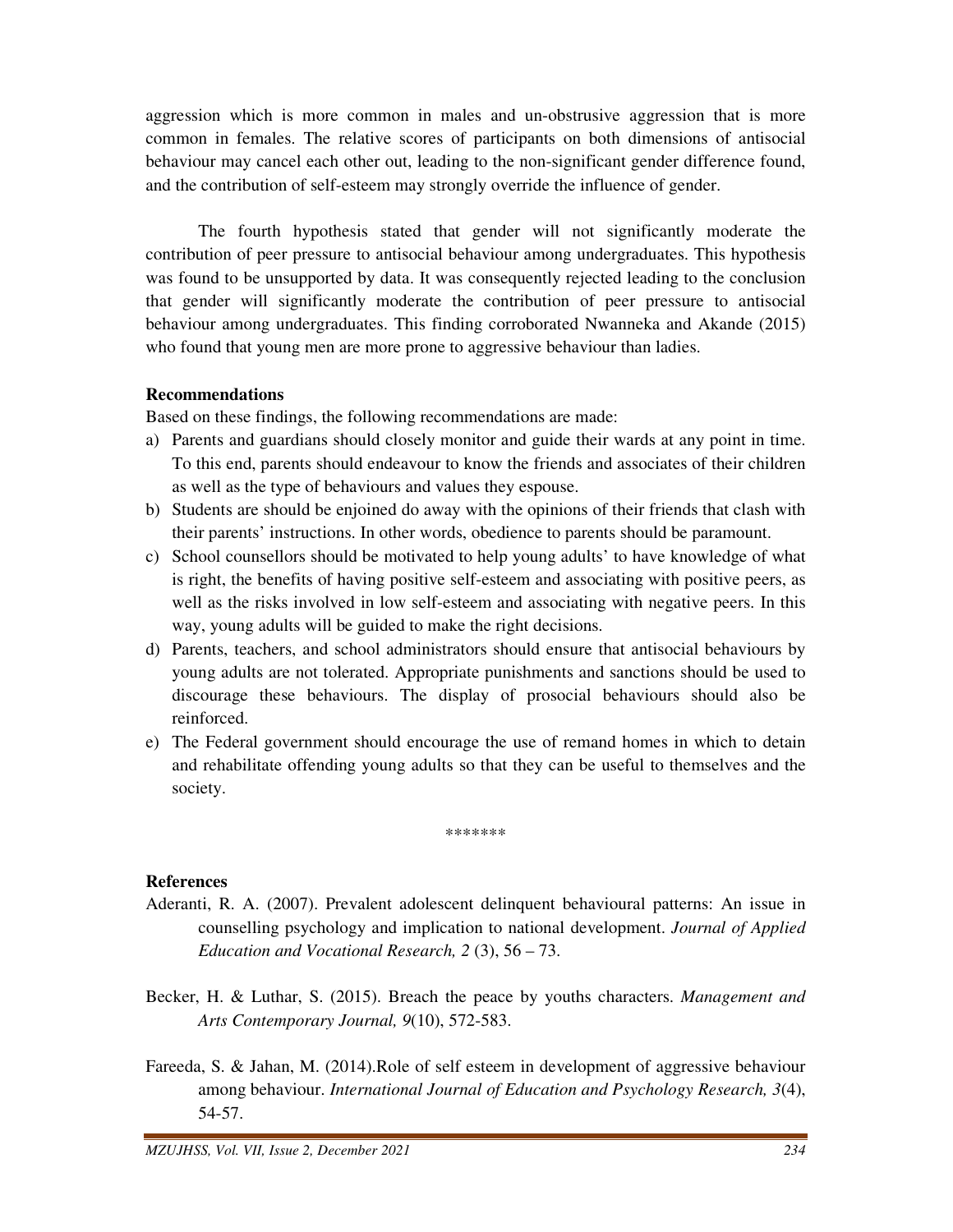aggression which is more common in males and un-obstrusive aggression that is more common in females. The relative scores of participants on both dimensions of antisocial behaviour may cancel each other out, leading to the non-significant gender difference found, and the contribution of self-esteem may strongly override the influence of gender.

 The fourth hypothesis stated that gender will not significantly moderate the contribution of peer pressure to antisocial behaviour among undergraduates. This hypothesis was found to be unsupported by data. It was consequently rejected leading to the conclusion that gender will significantly moderate the contribution of peer pressure to antisocial behaviour among undergraduates. This finding corroborated Nwanneka and Akande (2015) who found that young men are more prone to aggressive behaviour than ladies.

## **Recommendations**

Based on these findings, the following recommendations are made:

- a) Parents and guardians should closely monitor and guide their wards at any point in time. To this end, parents should endeavour to know the friends and associates of their children as well as the type of behaviours and values they espouse.
- b) Students are should be enjoined do away with the opinions of their friends that clash with their parents' instructions. In other words, obedience to parents should be paramount.
- c) School counsellors should be motivated to help young adults' to have knowledge of what is right, the benefits of having positive self-esteem and associating with positive peers, as well as the risks involved in low self-esteem and associating with negative peers. In this way, young adults will be guided to make the right decisions.
- d) Parents, teachers, and school administrators should ensure that antisocial behaviours by young adults are not tolerated. Appropriate punishments and sanctions should be used to discourage these behaviours. The display of prosocial behaviours should also be reinforced.
- e) The Federal government should encourage the use of remand homes in which to detain and rehabilitate offending young adults so that they can be useful to themselves and the society.

\*\*\*\*\*\*\*

#### **References**

- Aderanti, R. A. (2007). Prevalent adolescent delinquent behavioural patterns: An issue in counselling psychology and implication to national development. *Journal of Applied Education and Vocational Research, 2* (3), 56 – 73.
- Becker, H. & Luthar, S. (2015). Breach the peace by youths characters. *Management and Arts Contemporary Journal, 9*(10), 572-583.
- Fareeda, S. & Jahan, M. (2014).Role of self esteem in development of aggressive behaviour among behaviour. *International Journal of Education and Psychology Research, 3*(4), 54-57.